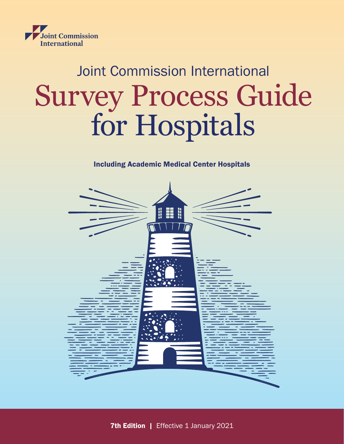

## Joint Commission International Survey Process Guide for Hospitals

## Including Academic Medical Center Hospitals



**7th Edition | Effective 1 January 2021**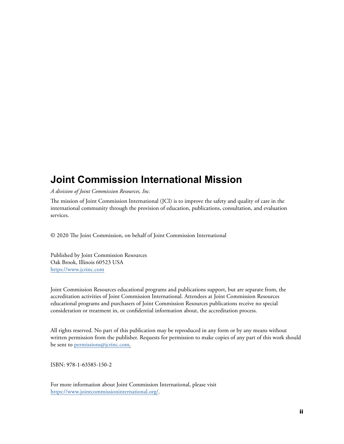## **Joint Commission International Mission**

*A division of Joint Commission Resources, Inc.*

The mission of Joint Commission International (JCI) is to improve the safety and quality of care in the international community through the provision of education, publications, consultation, and evaluation services.

© 2020 The Joint Commission, on behalf of Joint Commission International

Published by Joint Commission Resources Oak Brook, Illinois 60523 USA <https://www.jcrinc.com>

Joint Commission Resources educational programs and publications support, but are separate from, the accreditation activities of Joint Commission International. Attendees at Joint Commission Resources educational programs and purchasers of Joint Commission Resources publications receive no special consideration or treatment in, or confidential information about, the accreditation process.

All rights reserved. No part of this publication may be reproduced in any form or by any means without written permission from the publisher. Requests for permission to make copies of any part of this work should be sent to [permissions@jcrinc.com](mailto:permissions@jcrinc.com).

ISBN: 978-1-63585-150-2

For more information about Joint Commission International, please visit <https://www.jointcommissioninternational.org/>.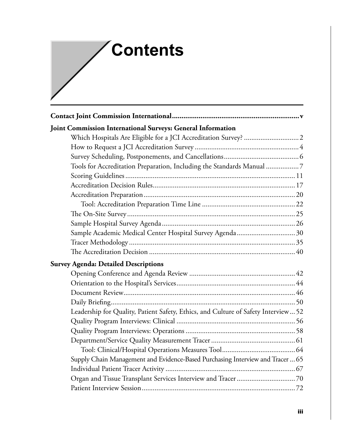## **Contents**

| Joint Commission International Surveys: General Information                        |
|------------------------------------------------------------------------------------|
|                                                                                    |
|                                                                                    |
|                                                                                    |
| Tools for Accreditation Preparation, Including the Standards Manual 7              |
|                                                                                    |
|                                                                                    |
|                                                                                    |
|                                                                                    |
|                                                                                    |
|                                                                                    |
| Sample Academic Medical Center Hospital Survey Agenda 30                           |
|                                                                                    |
|                                                                                    |
| <b>Survey Agenda: Detailed Descriptions</b>                                        |
|                                                                                    |
|                                                                                    |
|                                                                                    |
|                                                                                    |
| Leadership for Quality, Patient Safety, Ethics, and Culture of Safety Interview 52 |
|                                                                                    |
|                                                                                    |
|                                                                                    |
|                                                                                    |
| Supply Chain Management and Evidence-Based Purchasing Interview and Tracer  65     |
|                                                                                    |
|                                                                                    |
|                                                                                    |